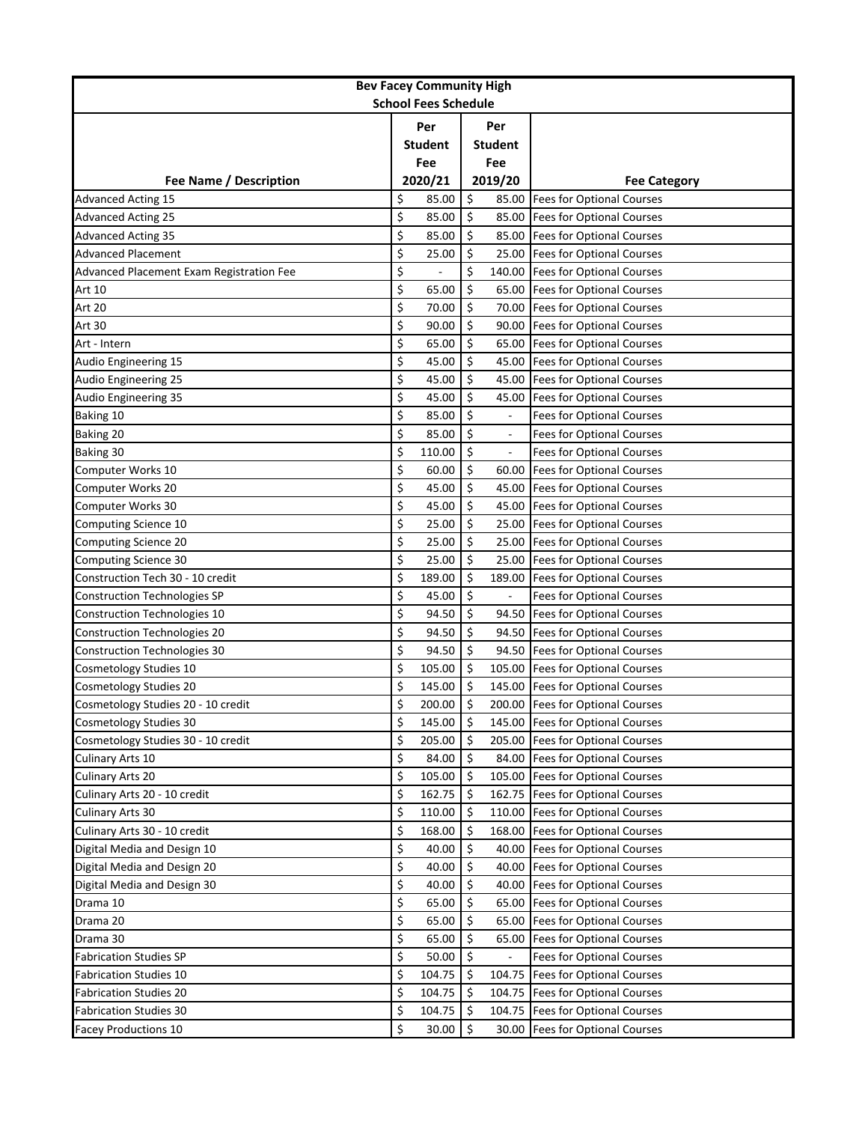| <b>Bev Facey Community High</b>          |    |                |         |                          |                                  |  |  |
|------------------------------------------|----|----------------|---------|--------------------------|----------------------------------|--|--|
| <b>School Fees Schedule</b>              |    |                |         |                          |                                  |  |  |
|                                          |    | Per            |         | Per                      |                                  |  |  |
|                                          |    | <b>Student</b> |         | <b>Student</b>           |                                  |  |  |
|                                          |    | Fee            |         | Fee                      |                                  |  |  |
| Fee Name / Description                   |    | 2020/21        |         | 2019/20                  | <b>Fee Category</b>              |  |  |
| <b>Advanced Acting 15</b>                | \$ | 85.00          | \$      | 85.00                    | <b>Fees for Optional Courses</b> |  |  |
| <b>Advanced Acting 25</b>                | \$ | 85.00          | \$      | 85.00                    | <b>Fees for Optional Courses</b> |  |  |
| <b>Advanced Acting 35</b>                | \$ | 85.00          | $\zeta$ | 85.00                    | <b>Fees for Optional Courses</b> |  |  |
| <b>Advanced Placement</b>                | \$ | 25.00          | \$      | 25.00                    | <b>Fees for Optional Courses</b> |  |  |
| Advanced Placement Exam Registration Fee | \$ |                | \$      | 140.00                   | <b>Fees for Optional Courses</b> |  |  |
| Art 10                                   | \$ | 65.00          | \$      | 65.00                    | <b>Fees for Optional Courses</b> |  |  |
| Art 20                                   | \$ | 70.00          | \$      | 70.00                    | <b>Fees for Optional Courses</b> |  |  |
| Art 30                                   | \$ | 90.00          | \$      | 90.00                    | <b>Fees for Optional Courses</b> |  |  |
| Art - Intern                             | \$ | 65.00          | \$      | 65.00                    | <b>Fees for Optional Courses</b> |  |  |
| Audio Engineering 15                     | \$ | 45.00          | \$      | 45.00                    | <b>Fees for Optional Courses</b> |  |  |
| <b>Audio Engineering 25</b>              | \$ | 45.00          | \$      | 45.00                    | <b>Fees for Optional Courses</b> |  |  |
| Audio Engineering 35                     | \$ | 45.00          | \$      | 45.00                    | <b>Fees for Optional Courses</b> |  |  |
| Baking 10                                | \$ | 85.00          | \$      |                          | <b>Fees for Optional Courses</b> |  |  |
| Baking 20                                | \$ | 85.00          | \$      |                          | <b>Fees for Optional Courses</b> |  |  |
| Baking 30                                | \$ | 110.00         | \$      | $\overline{a}$           | <b>Fees for Optional Courses</b> |  |  |
| Computer Works 10                        | \$ | 60.00          | \$      | 60.00                    | <b>Fees for Optional Courses</b> |  |  |
| Computer Works 20                        | \$ | 45.00          | \$      | 45.00                    | <b>Fees for Optional Courses</b> |  |  |
| Computer Works 30                        | \$ | 45.00          | \$      | 45.00                    | <b>Fees for Optional Courses</b> |  |  |
| Computing Science 10                     | \$ | 25.00          | \$      | 25.00                    | <b>Fees for Optional Courses</b> |  |  |
| Computing Science 20                     | \$ | 25.00          | \$      | 25.00                    | <b>Fees for Optional Courses</b> |  |  |
| Computing Science 30                     | \$ | 25.00          | \$      | 25.00                    | <b>Fees for Optional Courses</b> |  |  |
| Construction Tech 30 - 10 credit         | \$ | 189.00         | \$      | 189.00                   | <b>Fees for Optional Courses</b> |  |  |
| <b>Construction Technologies SP</b>      | \$ | 45.00          | \$      | $\overline{\phantom{a}}$ | Fees for Optional Courses        |  |  |
| <b>Construction Technologies 10</b>      | \$ | 94.50          | \$      | 94.50                    | <b>Fees for Optional Courses</b> |  |  |
| <b>Construction Technologies 20</b>      | \$ | 94.50          | \$      | 94.50                    | <b>Fees for Optional Courses</b> |  |  |
| <b>Construction Technologies 30</b>      | \$ | 94.50          | \$      | 94.50                    | <b>Fees for Optional Courses</b> |  |  |
| Cosmetology Studies 10                   | \$ | 105.00         | \$      | 105.00                   | <b>Fees for Optional Courses</b> |  |  |
| <b>Cosmetology Studies 20</b>            | \$ | 145.00         | \$      | 145.00                   | <b>Fees for Optional Courses</b> |  |  |
| Cosmetology Studies 20 - 10 credit       | \$ | 200.00         | $\zeta$ |                          | 200.00 Fees for Optional Courses |  |  |
| <b>Cosmetology Studies 30</b>            | \$ | 145.00         | \$      |                          | 145.00 Fees for Optional Courses |  |  |
| Cosmetology Studies 30 - 10 credit       | \$ | 205.00         | \$      | 205.00                   | <b>Fees for Optional Courses</b> |  |  |
| Culinary Arts 10                         | \$ | 84.00          | $\zeta$ | 84.00                    | <b>Fees for Optional Courses</b> |  |  |
| Culinary Arts 20                         | \$ | 105.00         | $\zeta$ | 105.00                   | <b>Fees for Optional Courses</b> |  |  |
| Culinary Arts 20 - 10 credit             | \$ | 162.75         | \$      |                          | 162.75 Fees for Optional Courses |  |  |
| Culinary Arts 30                         | \$ | 110.00         | \$      | 110.00                   | <b>Fees for Optional Courses</b> |  |  |
| Culinary Arts 30 - 10 credit             | \$ | 168.00         | \$      | 168.00                   | <b>Fees for Optional Courses</b> |  |  |
| Digital Media and Design 10              | \$ | 40.00          | \$      | 40.00                    | <b>Fees for Optional Courses</b> |  |  |
| Digital Media and Design 20              | \$ | 40.00          | \$      | 40.00                    | <b>Fees for Optional Courses</b> |  |  |
| Digital Media and Design 30              | \$ | 40.00          | \$      | 40.00                    | <b>Fees for Optional Courses</b> |  |  |
| Drama 10                                 | \$ | 65.00          | \$      | 65.00                    | <b>Fees for Optional Courses</b> |  |  |
| Drama 20                                 | \$ | 65.00          | \$      | 65.00                    | <b>Fees for Optional Courses</b> |  |  |
| Drama 30                                 | \$ | 65.00          | \$      | 65.00                    | <b>Fees for Optional Courses</b> |  |  |
| <b>Fabrication Studies SP</b>            | \$ | 50.00          | \$      |                          | Fees for Optional Courses        |  |  |
| <b>Fabrication Studies 10</b>            | \$ | 104.75         | \$      | 104.75                   | <b>Fees for Optional Courses</b> |  |  |
| <b>Fabrication Studies 20</b>            | \$ | 104.75         | \$      | 104.75                   | <b>Fees for Optional Courses</b> |  |  |
| <b>Fabrication Studies 30</b>            | \$ | 104.75         | \$      | 104.75                   | <b>Fees for Optional Courses</b> |  |  |
| <b>Facey Productions 10</b>              | \$ | 30.00          | \$      | 30.00                    | <b>Fees for Optional Courses</b> |  |  |
|                                          |    |                |         |                          |                                  |  |  |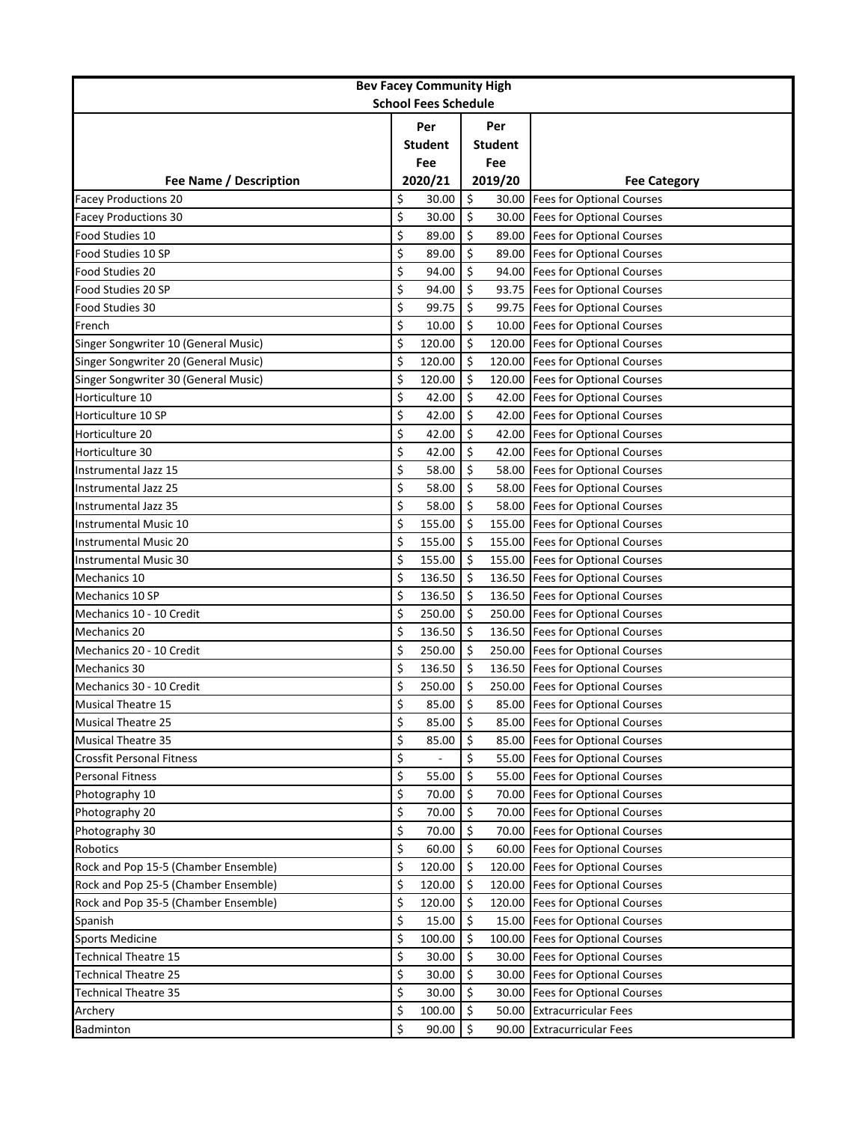| <b>Bev Facey Community High</b><br><b>School Fees Schedule</b> |                |         |                |        |                                  |  |
|----------------------------------------------------------------|----------------|---------|----------------|--------|----------------------------------|--|
|                                                                |                |         |                |        |                                  |  |
|                                                                |                | Per     |                | Per    |                                  |  |
|                                                                |                | Student | <b>Student</b> |        |                                  |  |
|                                                                | Fee<br>2020/21 |         | Fee<br>2019/20 |        | <b>Fee Category</b>              |  |
| Fee Name / Description<br><b>Facey Productions 20</b>          | \$             | 30.00   | \$             | 30.00  | <b>Fees for Optional Courses</b> |  |
| <b>Facey Productions 30</b>                                    | \$             | 30.00   | \$             | 30.00  | <b>Fees for Optional Courses</b> |  |
| Food Studies 10                                                | \$             | 89.00   | \$             | 89.00  | <b>Fees for Optional Courses</b> |  |
| Food Studies 10 SP                                             | \$             | 89.00   | \$             | 89.00  | <b>Fees for Optional Courses</b> |  |
| Food Studies 20                                                | \$             | 94.00   | \$             |        | 94.00 Fees for Optional Courses  |  |
| Food Studies 20 SP                                             | \$             | 94.00   | \$             |        | 93.75 Fees for Optional Courses  |  |
| Food Studies 30                                                | \$             | 99.75   | \$             | 99.75  | <b>Fees for Optional Courses</b> |  |
| French                                                         | \$             | 10.00   | Ś.             |        | 10.00 Fees for Optional Courses  |  |
| Singer Songwriter 10 (General Music)                           | \$             | 120.00  | $\zeta$        |        | 120.00 Fees for Optional Courses |  |
| Singer Songwriter 20 (General Music)                           | \$             | 120.00  | \$             |        | 120.00 Fees for Optional Courses |  |
| Singer Songwriter 30 (General Music)                           | \$             | 120.00  | \$             | 120.00 | <b>Fees for Optional Courses</b> |  |
| Horticulture 10                                                | \$             | 42.00   | \$             | 42.00  | <b>Fees for Optional Courses</b> |  |
| Horticulture 10 SP                                             | \$             | 42.00   | \$             | 42.00  | <b>Fees for Optional Courses</b> |  |
| Horticulture 20                                                | \$             | 42.00   | \$             | 42.00  | <b>Fees for Optional Courses</b> |  |
| Horticulture 30                                                | \$             | 42.00   | \$             | 42.00  | <b>Fees for Optional Courses</b> |  |
| Instrumental Jazz 15                                           | \$             | 58.00   | \$             | 58.00  | <b>Fees for Optional Courses</b> |  |
| Instrumental Jazz 25                                           | \$             | 58.00   | \$             | 58.00  | <b>Fees for Optional Courses</b> |  |
| Instrumental Jazz 35                                           | \$             | 58.00   | \$             |        | 58.00 Fees for Optional Courses  |  |
| Instrumental Music 10                                          | \$             | 155.00  | \$             | 155.00 | <b>Fees for Optional Courses</b> |  |
| <b>Instrumental Music 20</b>                                   | \$             | 155.00  | \$             | 155.00 | <b>Fees for Optional Courses</b> |  |
| <b>Instrumental Music 30</b>                                   | \$             | 155.00  | \$             | 155.00 | <b>Fees for Optional Courses</b> |  |
| Mechanics 10                                                   | \$             | 136.50  | \$             | 136.50 | <b>Fees for Optional Courses</b> |  |
| Mechanics 10 SP                                                | \$             | 136.50  | \$             | 136.50 | <b>Fees for Optional Courses</b> |  |
| Mechanics 10 - 10 Credit                                       | \$             | 250.00  | \$             | 250.00 | <b>Fees for Optional Courses</b> |  |
| <b>Mechanics 20</b>                                            | \$             | 136.50  | \$             | 136.50 | <b>Fees for Optional Courses</b> |  |
| Mechanics 20 - 10 Credit                                       | \$             | 250.00  | \$             |        | 250.00 Fees for Optional Courses |  |
| Mechanics 30                                                   | \$             | 136.50  | \$             | 136.50 | <b>Fees for Optional Courses</b> |  |
| Mechanics 30 - 10 Credit                                       | \$             | 250.00  | \$             | 250.00 | <b>Fees for Optional Courses</b> |  |
| <b>Musical Theatre 15</b>                                      | \$             | 85.00   | \$             |        | 85.00 Fees for Optional Courses  |  |
| <b>Musical Theatre 25</b>                                      | \$             | 85.00   | \$             |        | 85.00 Fees for Optional Courses  |  |
| <b>Musical Theatre 35</b>                                      | \$             | 85.00   | \$             | 85.00  | <b>Fees for Optional Courses</b> |  |
| <b>Crossfit Personal Fitness</b>                               | \$             |         | \$             | 55.00  | <b>Fees for Optional Courses</b> |  |
| <b>Personal Fitness</b>                                        | \$             | 55.00   | \$             | 55.00  | <b>Fees for Optional Courses</b> |  |
| Photography 10                                                 | \$             | 70.00   | $\zeta$        | 70.00  | <b>Fees for Optional Courses</b> |  |
| Photography 20                                                 | \$             | 70.00   | $\zeta$        | 70.00  | <b>Fees for Optional Courses</b> |  |
| Photography 30                                                 | \$             | 70.00   | \$             | 70.00  | <b>Fees for Optional Courses</b> |  |
| Robotics                                                       | \$             | 60.00   | $\zeta$        | 60.00  | <b>Fees for Optional Courses</b> |  |
| Rock and Pop 15-5 (Chamber Ensemble)                           | \$             | 120.00  | \$             | 120.00 | <b>Fees for Optional Courses</b> |  |
| Rock and Pop 25-5 (Chamber Ensemble)                           | \$             | 120.00  | \$             | 120.00 | <b>Fees for Optional Courses</b> |  |
| Rock and Pop 35-5 (Chamber Ensemble)                           | \$             | 120.00  | \$             | 120.00 | <b>Fees for Optional Courses</b> |  |
| Spanish                                                        | \$             | 15.00   | $\zeta$        | 15.00  | <b>Fees for Optional Courses</b> |  |
| <b>Sports Medicine</b>                                         | \$             | 100.00  | $\zeta$        | 100.00 | <b>Fees for Optional Courses</b> |  |
| <b>Technical Theatre 15</b>                                    | \$             | 30.00   | \$             | 30.00  | <b>Fees for Optional Courses</b> |  |
| <b>Technical Theatre 25</b>                                    | \$             | 30.00   | \$             | 30.00  | <b>Fees for Optional Courses</b> |  |
| <b>Technical Theatre 35</b>                                    | \$             | 30.00   | \$             | 30.00  | <b>Fees for Optional Courses</b> |  |
| Archery                                                        | \$             | 100.00  | \$             | 50.00  | <b>Extracurricular Fees</b>      |  |
| Badminton                                                      | \$             | 90.00   | \$             | 90.00  | <b>Extracurricular Fees</b>      |  |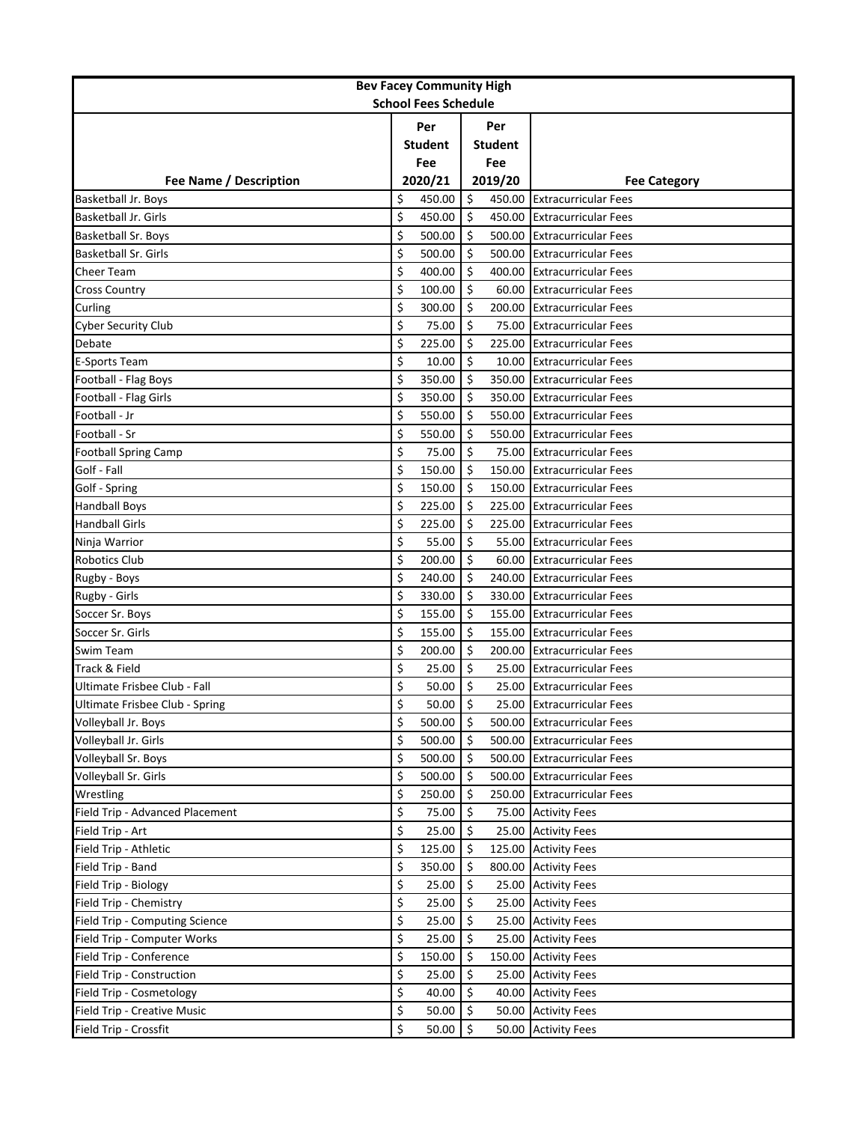| <b>Bev Facey Community High</b> |     |                |         |                |                             |  |  |
|---------------------------------|-----|----------------|---------|----------------|-----------------------------|--|--|
| <b>School Fees Schedule</b>     |     |                |         |                |                             |  |  |
|                                 | Per |                | Per     |                |                             |  |  |
|                                 |     | <b>Student</b> |         | <b>Student</b> |                             |  |  |
|                                 |     | Fee            |         | Fee            |                             |  |  |
| Fee Name / Description          |     | 2020/21        |         | 2019/20        | <b>Fee Category</b>         |  |  |
| Basketball Jr. Boys             | \$  | 450.00         | \$      | 450.00         | <b>Extracurricular Fees</b> |  |  |
| <b>Basketball Jr. Girls</b>     | \$  | 450.00         | \$      | 450.00         | <b>Extracurricular Fees</b> |  |  |
| Basketball Sr. Boys             | \$  | 500.00         | \$      | 500.00         | <b>Extracurricular Fees</b> |  |  |
| Basketball Sr. Girls            | \$  | 500.00         | \$      | 500.00         | <b>Extracurricular Fees</b> |  |  |
| Cheer Team                      | \$  | 400.00         | \$      | 400.00         | <b>Extracurricular Fees</b> |  |  |
| <b>Cross Country</b>            | \$  | 100.00         | \$      | 60.00          | <b>Extracurricular Fees</b> |  |  |
| Curling                         | \$  | 300.00         | \$      | 200.00         | <b>Extracurricular Fees</b> |  |  |
| <b>Cyber Security Club</b>      | \$  | 75.00          | Ś.      | 75.00          | <b>Extracurricular Fees</b> |  |  |
| Debate                          | \$  | 225.00         | \$      | 225.00         | <b>Extracurricular Fees</b> |  |  |
| <b>E-Sports Team</b>            | \$  | 10.00          | \$      | 10.00          | <b>Extracurricular Fees</b> |  |  |
| Football - Flag Boys            | \$  | 350.00         | \$      | 350.00         | <b>Extracurricular Fees</b> |  |  |
| Football - Flag Girls           | \$  | 350.00         | \$      | 350.00         | <b>Extracurricular Fees</b> |  |  |
| Football - Jr                   | \$  | 550.00         | \$      | 550.00         | <b>Extracurricular Fees</b> |  |  |
| Football - Sr                   | \$  | 550.00         | \$      | 550.00         | <b>Extracurricular Fees</b> |  |  |
| <b>Football Spring Camp</b>     | \$  | 75.00          | Ś       | 75.00          | <b>Extracurricular Fees</b> |  |  |
| Golf - Fall                     | \$  | 150.00         | Ŝ.      | 150.00         | <b>Extracurricular Fees</b> |  |  |
| Golf - Spring                   | \$  | 150.00         | \$      | 150.00         | <b>Extracurricular Fees</b> |  |  |
| <b>Handball Boys</b>            | \$  | 225.00         | Ś       | 225.00         | <b>Extracurricular Fees</b> |  |  |
| <b>Handball Girls</b>           | \$  | 225.00         | \$      | 225.00         | <b>Extracurricular Fees</b> |  |  |
| Ninja Warrior                   | \$  | 55.00          | \$      | 55.00          | <b>Extracurricular Fees</b> |  |  |
| <b>Robotics Club</b>            | \$  | 200.00         | \$      | 60.00          | <b>Extracurricular Fees</b> |  |  |
| Rugby - Boys                    | \$  | 240.00         | \$      | 240.00         | <b>Extracurricular Fees</b> |  |  |
| Rugby - Girls                   | \$  | 330.00         | \$      | 330.00         | <b>Extracurricular Fees</b> |  |  |
| Soccer Sr. Boys                 | \$  | 155.00         | Ś       | 155.00         | <b>Extracurricular Fees</b> |  |  |
| Soccer Sr. Girls                | \$  | 155.00         | \$      | 155.00         | <b>Extracurricular Fees</b> |  |  |
| Swim Team                       | \$  | 200.00         | \$      | 200.00         | <b>Extracurricular Fees</b> |  |  |
| Track & Field                   | \$  | 25.00          | \$      | 25.00          | <b>Extracurricular Fees</b> |  |  |
| Ultimate Frisbee Club - Fall    | \$  | 50.00          | \$      | 25.00          | <b>Extracurricular Fees</b> |  |  |
| Ultimate Frisbee Club - Spring  | \$  | 50.00          | $\zeta$ |                | 25.00 Extracurricular Fees  |  |  |
| Volleyball Jr. Boys             | \$  | 500.00         | \$      | 500.00         | <b>Extracurricular Fees</b> |  |  |
| Volleyball Jr. Girls            | \$  | 500.00         | \$      | 500.00         | <b>Extracurricular Fees</b> |  |  |
| Volleyball Sr. Boys             | \$  | 500.00         | \$      | 500.00         | <b>Extracurricular Fees</b> |  |  |
| Volleyball Sr. Girls            | \$  | 500.00         | \$      | 500.00         | <b>Extracurricular Fees</b> |  |  |
| Wrestling                       | \$  | 250.00         | \$      | 250.00         | <b>Extracurricular Fees</b> |  |  |
| Field Trip - Advanced Placement | \$  | 75.00          | \$      | 75.00          | <b>Activity Fees</b>        |  |  |
| Field Trip - Art                | \$  | 25.00          | \$      | 25.00          | <b>Activity Fees</b>        |  |  |
| Field Trip - Athletic           | \$  | 125.00         | \$      | 125.00         | <b>Activity Fees</b>        |  |  |
| Field Trip - Band               | \$  | 350.00         | \$      | 800.00         | <b>Activity Fees</b>        |  |  |
| Field Trip - Biology            | \$  | 25.00          | \$      | 25.00          | <b>Activity Fees</b>        |  |  |
| Field Trip - Chemistry          | \$  | 25.00          | \$      | 25.00          | <b>Activity Fees</b>        |  |  |
| Field Trip - Computing Science  | \$  | 25.00          | Ś.      | 25.00          | <b>Activity Fees</b>        |  |  |
| Field Trip - Computer Works     | \$  | 25.00          | \$      | 25.00          | <b>Activity Fees</b>        |  |  |
| Field Trip - Conference         | \$  | 150.00         | \$      | 150.00         | <b>Activity Fees</b>        |  |  |
| Field Trip - Construction       | \$  | 25.00          | \$      | 25.00          | <b>Activity Fees</b>        |  |  |
| Field Trip - Cosmetology        | \$  | 40.00          | \$      | 40.00          | <b>Activity Fees</b>        |  |  |
| Field Trip - Creative Music     | \$  | 50.00          | \$      | 50.00          | <b>Activity Fees</b>        |  |  |
| Field Trip - Crossfit           | \$  | 50.00          | \$      | 50.00          | <b>Activity Fees</b>        |  |  |